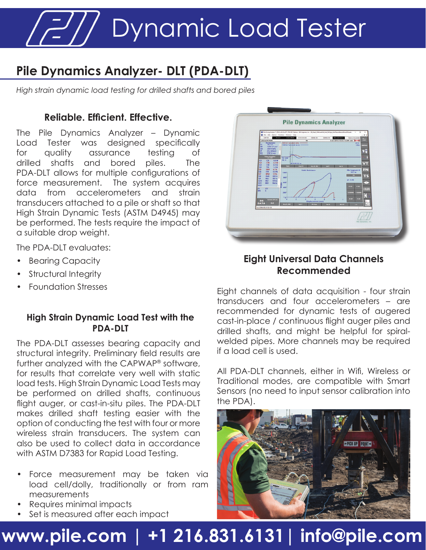Dynamic Load Tester

### **Pile Dynamics Analyzer- DLT (PDA-DLT)**

*High strain dynamic load testing for drilled shafts and bored piles*

### **Reliable. Efficient. Effective.**

The Pile Dynamics Analyzer – Dynamic Load Tester was designed specifically for quality assurance testing of drilled shafts and bored piles. The PDA-DLT allows for multiple configurations of force measurement. The system acquires data from accelerometers and strain transducers attached to a pile or shaft so that High Strain Dynamic Tests (ASTM D4945) may be performed. The tests require the impact of a suitable drop weight.

The PDA-DLT evaluates:

- **Bearing Capacity**
- Structural Integrity
- Foundation Stresses

#### **High Strain Dynamic Load Test with the PDA-DLT**

The PDA-DLT assesses bearing capacity and structural integrity. Preliminary field results are further analyzed with the CAPWAP® software, for results that correlate very well with static load tests. High Strain Dynamic Load Tests may be performed on drilled shafts, continuous flight auger, or cast-in-situ piles. The PDA-DLT makes drilled shaft testing easier with the option of conducting the test with four or more wireless strain transducers. The system can also be used to collect data in accordance with ASTM D7383 for Rapid Load Testing.

- Force measurement may be taken via load cell/dolly, traditionally or from ram measurements
- Requires minimal impacts
- Set is measured after each impact



#### **Eight Universal Data Channels Recommended**

Eight channels of data acquisition - four strain transducers and four accelerometers – are recommended for dynamic tests of augered cast-in-place / continuous flight auger piles and drilled shafts, and might be helpful for spiralwelded pipes. More channels may be required if a load cell is used.

All PDA-DLT channels, either in Wifi, Wireless or Traditional modes, are compatible with Smart Sensors (no need to input sensor calibration into the PDA).



## **www.pile.com | +1 216.831.6131| info@pile.com**